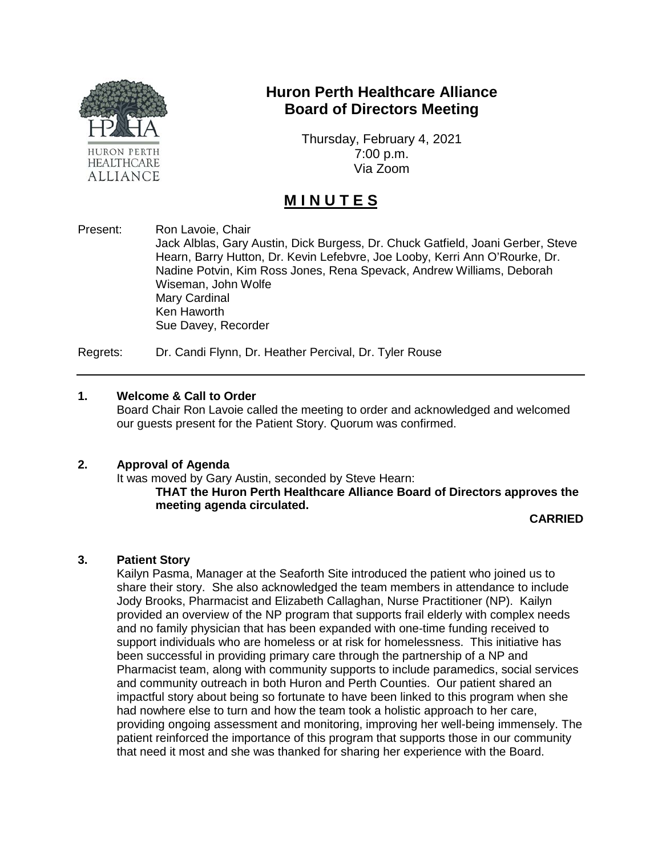

## **Huron Perth Healthcare Alliance Board of Directors Meeting**

Thursday, February 4, 2021 7:00 p.m. Via Zoom

# **M I N U T E S**

Present: Ron Lavoie, Chair Jack Alblas, Gary Austin, Dick Burgess, Dr. Chuck Gatfield, Joani Gerber, Steve Hearn, Barry Hutton, Dr. Kevin Lefebvre, Joe Looby, Kerri Ann O'Rourke, Dr. Nadine Potvin, Kim Ross Jones, Rena Spevack, Andrew Williams, Deborah Wiseman, John Wolfe Mary Cardinal Ken Haworth Sue Davey, Recorder

Regrets: Dr. Candi Flynn, Dr. Heather Percival, Dr. Tyler Rouse

#### **1. Welcome & Call to Order**

Board Chair Ron Lavoie called the meeting to order and acknowledged and welcomed our guests present for the Patient Story. Quorum was confirmed.

#### **2. Approval of Agenda**

It was moved by Gary Austin, seconded by Steve Hearn: **THAT the Huron Perth Healthcare Alliance Board of Directors approves the meeting agenda circulated.**

**CARRIED**

#### **3. Patient Story**

Kailyn Pasma, Manager at the Seaforth Site introduced the patient who joined us to share their story. She also acknowledged the team members in attendance to include Jody Brooks, Pharmacist and Elizabeth Callaghan, Nurse Practitioner (NP). Kailyn provided an overview of the NP program that supports frail elderly with complex needs and no family physician that has been expanded with one-time funding received to support individuals who are homeless or at risk for homelessness. This initiative has been successful in providing primary care through the partnership of a NP and Pharmacist team, along with community supports to include paramedics, social services and community outreach in both Huron and Perth Counties. Our patient shared an impactful story about being so fortunate to have been linked to this program when she had nowhere else to turn and how the team took a holistic approach to her care, providing ongoing assessment and monitoring, improving her well-being immensely. The patient reinforced the importance of this program that supports those in our community that need it most and she was thanked for sharing her experience with the Board.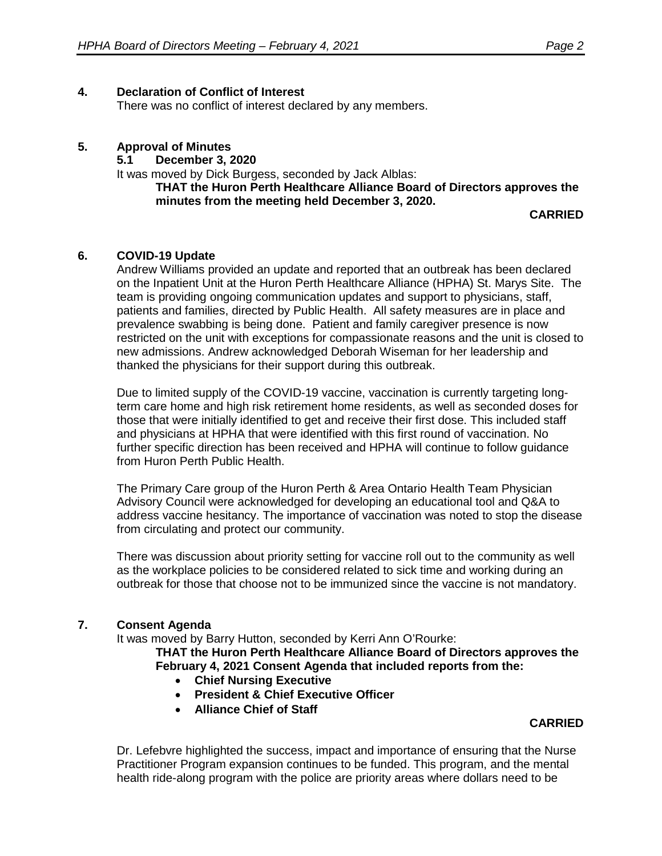#### **4. Declaration of Conflict of Interest**

There was no conflict of interest declared by any members.

#### **5. Approval of Minutes**

**5.1 December 3, 2020**

It was moved by Dick Burgess, seconded by Jack Alblas:

**THAT the Huron Perth Healthcare Alliance Board of Directors approves the minutes from the meeting held December 3, 2020.**

**CARRIED**

#### **6. COVID-19 Update**

Andrew Williams provided an update and reported that an outbreak has been declared on the Inpatient Unit at the Huron Perth Healthcare Alliance (HPHA) St. Marys Site. The team is providing ongoing communication updates and support to physicians, staff, patients and families, directed by Public Health. All safety measures are in place and prevalence swabbing is being done. Patient and family caregiver presence is now restricted on the unit with exceptions for compassionate reasons and the unit is closed to new admissions. Andrew acknowledged Deborah Wiseman for her leadership and thanked the physicians for their support during this outbreak.

Due to limited supply of the COVID-19 vaccine, vaccination is currently targeting longterm care home and high risk retirement home residents, as well as seconded doses for those that were initially identified to get and receive their first dose. This included staff and physicians at HPHA that were identified with this first round of vaccination. No further specific direction has been received and HPHA will continue to follow guidance from Huron Perth Public Health.

The Primary Care group of the Huron Perth & Area Ontario Health Team Physician Advisory Council were acknowledged for developing an educational tool and Q&A to address vaccine hesitancy. The importance of vaccination was noted to stop the disease from circulating and protect our community.

There was discussion about priority setting for vaccine roll out to the community as well as the workplace policies to be considered related to sick time and working during an outbreak for those that choose not to be immunized since the vaccine is not mandatory.

#### **7. Consent Agenda**

It was moved by Barry Hutton, seconded by Kerri Ann O'Rourke:

**THAT the Huron Perth Healthcare Alliance Board of Directors approves the February 4, 2021 Consent Agenda that included reports from the:**

- **Chief Nursing Executive**
- **President & Chief Executive Officer**
- **Alliance Chief of Staff**

#### **CARRIED**

Dr. Lefebvre highlighted the success, impact and importance of ensuring that the Nurse Practitioner Program expansion continues to be funded. This program, and the mental health ride-along program with the police are priority areas where dollars need to be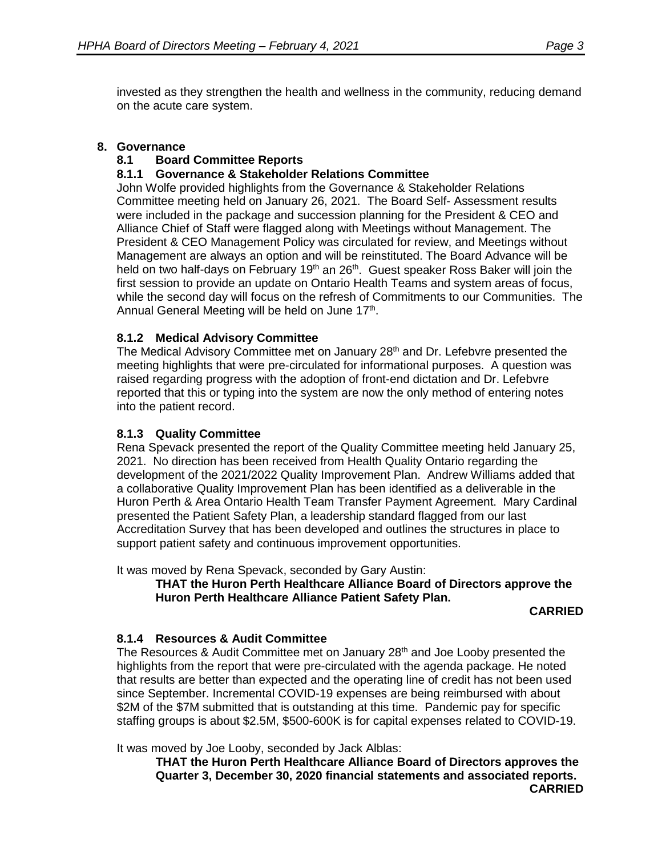invested as they strengthen the health and wellness in the community, reducing demand on the acute care system.

## **8. Governance**

## **8.1 Board Committee Reports**

## **8.1.1 Governance & Stakeholder Relations Committee**

John Wolfe provided highlights from the Governance & Stakeholder Relations Committee meeting held on January 26, 2021. The Board Self- Assessment results were included in the package and succession planning for the President & CEO and Alliance Chief of Staff were flagged along with Meetings without Management. The President & CEO Management Policy was circulated for review, and Meetings without Management are always an option and will be reinstituted. The Board Advance will be held on two half-days on February 19<sup>th</sup> an 26<sup>th</sup>. Guest speaker Ross Baker will join the first session to provide an update on Ontario Health Teams and system areas of focus, while the second day will focus on the refresh of Commitments to our Communities. The Annual General Meeting will be held on June 17<sup>th</sup>.

## **8.1.2 Medical Advisory Committee**

The Medical Advisory Committee met on January 28<sup>th</sup> and Dr. Lefebvre presented the meeting highlights that were pre-circulated for informational purposes. A question was raised regarding progress with the adoption of front-end dictation and Dr. Lefebvre reported that this or typing into the system are now the only method of entering notes into the patient record.

### **8.1.3 Quality Committee**

Rena Spevack presented the report of the Quality Committee meeting held January 25, 2021. No direction has been received from Health Quality Ontario regarding the development of the 2021/2022 Quality Improvement Plan. Andrew Williams added that a collaborative Quality Improvement Plan has been identified as a deliverable in the Huron Perth & Area Ontario Health Team Transfer Payment Agreement. Mary Cardinal presented the Patient Safety Plan, a leadership standard flagged from our last Accreditation Survey that has been developed and outlines the structures in place to support patient safety and continuous improvement opportunities.

It was moved by Rena Spevack, seconded by Gary Austin:

#### **THAT the Huron Perth Healthcare Alliance Board of Directors approve the Huron Perth Healthcare Alliance Patient Safety Plan.**

#### **CARRIED**

#### **8.1.4 Resources & Audit Committee**

The Resources & Audit Committee met on January 28<sup>th</sup> and Joe Looby presented the highlights from the report that were pre-circulated with the agenda package. He noted that results are better than expected and the operating line of credit has not been used since September. Incremental COVID-19 expenses are being reimbursed with about \$2M of the \$7M submitted that is outstanding at this time. Pandemic pay for specific staffing groups is about \$2.5M, \$500-600K is for capital expenses related to COVID-19.

It was moved by Joe Looby, seconded by Jack Alblas:

**THAT the Huron Perth Healthcare Alliance Board of Directors approves the Quarter 3, December 30, 2020 financial statements and associated reports. CARRIED**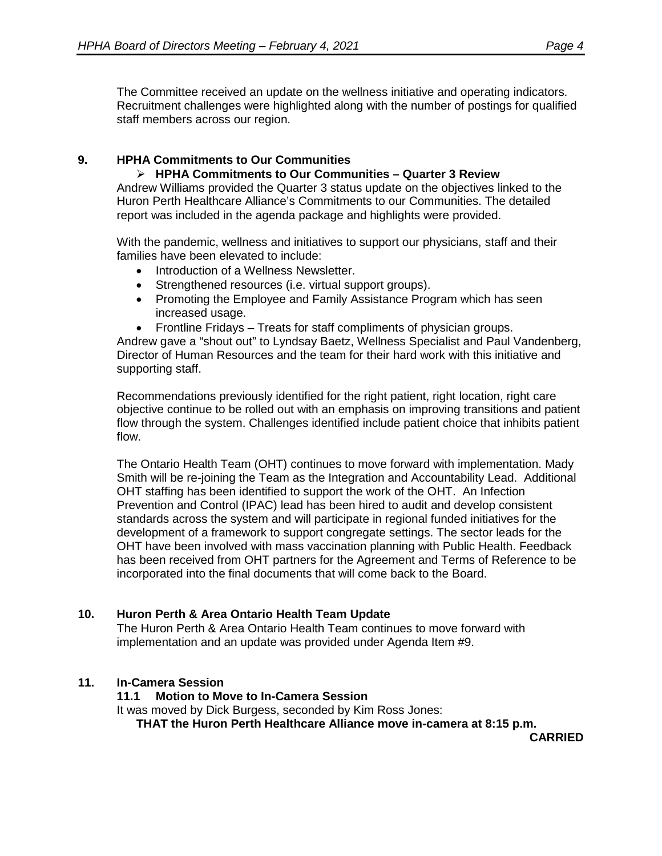The Committee received an update on the wellness initiative and operating indicators. Recruitment challenges were highlighted along with the number of postings for qualified staff members across our region.

## **9. HPHA Commitments to Our Communities**

 **HPHA Commitments to Our Communities – Quarter 3 Review** Andrew Williams provided the Quarter 3 status update on the objectives linked to the Huron Perth Healthcare Alliance's Commitments to our Communities. The detailed report was included in the agenda package and highlights were provided.

With the pandemic, wellness and initiatives to support our physicians, staff and their families have been elevated to include:

- Introduction of a Wellness Newsletter.
- Strengthened resources (i.e. virtual support groups).
- Promoting the Employee and Family Assistance Program which has seen increased usage.
- Frontline Fridays Treats for staff compliments of physician groups.

Andrew gave a "shout out" to Lyndsay Baetz, Wellness Specialist and Paul Vandenberg, Director of Human Resources and the team for their hard work with this initiative and supporting staff.

Recommendations previously identified for the right patient, right location, right care objective continue to be rolled out with an emphasis on improving transitions and patient flow through the system. Challenges identified include patient choice that inhibits patient flow.

The Ontario Health Team (OHT) continues to move forward with implementation. Mady Smith will be re-joining the Team as the Integration and Accountability Lead. Additional OHT staffing has been identified to support the work of the OHT. An Infection Prevention and Control (IPAC) lead has been hired to audit and develop consistent standards across the system and will participate in regional funded initiatives for the development of a framework to support congregate settings. The sector leads for the OHT have been involved with mass vaccination planning with Public Health. Feedback has been received from OHT partners for the Agreement and Terms of Reference to be incorporated into the final documents that will come back to the Board.

## **10. Huron Perth & Area Ontario Health Team Update**

The Huron Perth & Area Ontario Health Team continues to move forward with implementation and an update was provided under Agenda Item #9.

#### **11. In-Camera Session**

**11.1 Motion to Move to In-Camera Session**

It was moved by Dick Burgess, seconded by Kim Ross Jones:

**THAT the Huron Perth Healthcare Alliance move in-camera at 8:15 p.m.**

**CARRIED**